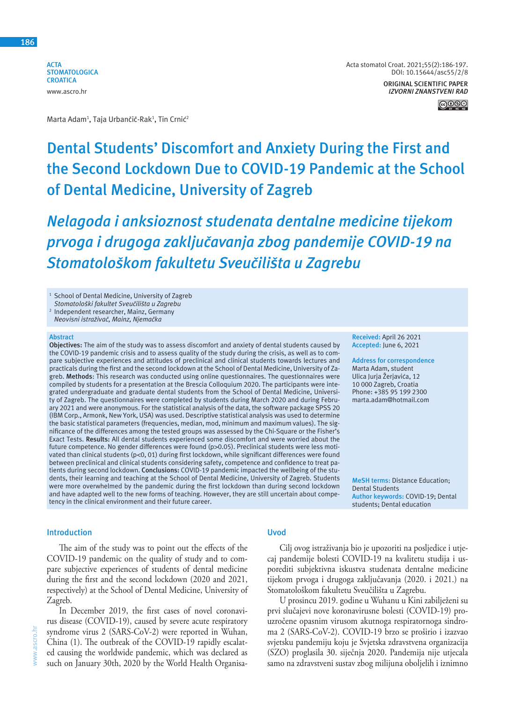**ACTA STOMATOLOGICA CROATICA** www.ascro.hr



# **Dental Students' Discomfort and Anxiety During the First and the Second Lockdown Due to COVID-19 Pandemic at the School of Dental Medicine, University of Zagreb**

*Nelagoda i anksioznost studenata dentalne medicine tijekom prvoga i drugoga zaključavanja zbog pandemije COVID-19 na Stomatološkom fakultetu Sveučilišta u Zagrebu*

<sup>1</sup> School of Dental Medicine, University of Zagreb *Stomatološki fakultet Sveučilišta u Zagrebu*

 Independent researcher, Mainz, Germany

*Neovisni istraživač, Mainz, Njemačka*

#### **Abstract**

2

**Objectives:** The aim of the study was to assess discomfort and anxiety of dental students caused by the COVID-19 pandemic crisis and to assess quality of the study during the crisis, as well as to compare subjective experiences and attitudes of preclinical and clinical students towards lectures and practicals during the first and the second lockdown at the School of Dental Medicine, University of Zagreb. **Methods**: This research was conducted using online questionnaires. The questionnaires were compiled by students for a presentation at the Brescia Colloquium 2020. The participants were integrated undergraduate and graduate dental students from the School of Dental Medicine, University of Zagreb. The questionnaires were completed by students during March 2020 and during February 2021 and were anonymous. For the statistical analysis of the data, the software package SPSS 20 (IBM Corp., Armonk, New York, USA) was used. Descriptive statistical analysis was used to determine the basic statistical parameters (frequencies, median, mod, minimum and maximum values). The significance of the differences among the tested groups was assessed by the Chi-Square or the Fisher's Exact Tests. **Results:** All dental students experienced some discomfort and were worried about the future competence. No gender differences were found (p>0.05). Preclinical students were less motivated than clinical students (p<0, 01) during first lockdown, while significant differences were found between preclinical and clinical students considering safety, competence and confidence to treat patients during second lockdown. **Conclusions:** COVID-19 pandemic impacted the wellbeing of the students, their learning and teaching at the School of Dental Medicine, University of Zagreb. Students were more overwhelmed by the pandemic during the first lockdown than during second lockdown and have adapted well to the new forms of teaching. However, they are still uncertain about competency in the clinical environment and their future career.

#### **Introduction**

The aim of the study was to point out the effects of the COVID-19 pandemic on the quality of study and to compare subjective experiences of students of dental medicine during the first and the second lockdown (2020 and 2021, respectively) at the School of Dental Medicine, University of Zagreb.

In December 2019, the first cases of novel coronavirus disease (COVID-19), caused by severe acute respiratory syndrome virus 2 (SARS-CoV-2) were reported in Wuhan, China (1). The outbreak of the COVID-19 rapidly escalated causing the worldwide pandemic, which was declared as such on January 30th, 2020 by the World Health Organisa-

## **Uvod**

Cilj ovog istraživanja bio je upozoriti na posljedice i utjecaj pandemije bolesti COVID-19 na kvalitetu studija i usporediti subjektivna iskustva studenata dentalne medicine tijekom prvoga i drugoga zaključavanja (2020. i 2021.) na Stomatološkom fakultetu Sveučilišta u Zagrebu.

U prosincu 2019. godine u Wuhanu u Kini zabilježeni su prvi slučajevi nove koronavirusne bolesti (COVID-19) prouzročene opasnim virusom akutnoga respiratornoga sindroma 2 (SARS-CoV-2). COVID-19 brzo se proširio i izazvao svjetsku pandemiju koju je Svjetska zdravstvena organizacija (SZO) proglasila 30. siječnja 2020. Pandemija nije utjecala samo na zdravstveni sustav zbog milijuna oboljelih i iznimno

**Received:** April 26 2021 **Accepted:** June 6, 2021

**Address for correspondence** Marta Adam, student Ulica Jurja Žerjavića, 12 10 000 Zagreb, Croatia Phone: +385 95 199 2300 marta.adam@hotmail.com

**MeSH terms:** Distance Education; Dental Students **Author keywords:** COVID-19; Dental students; Dental education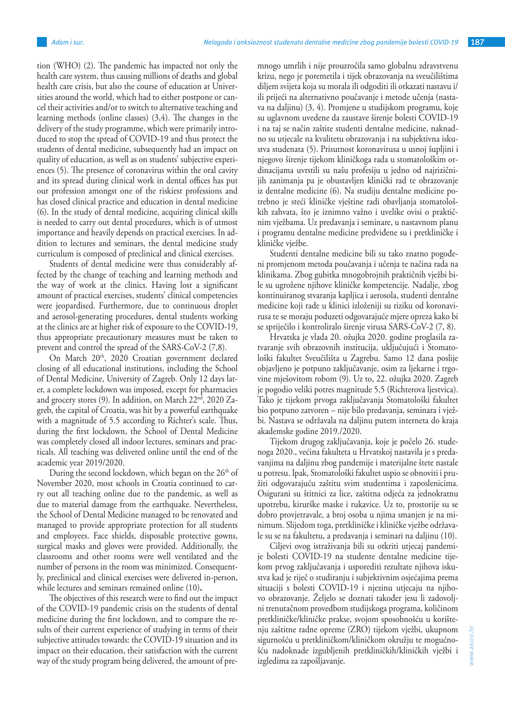tion (WHO) (2). The pandemic has impacted not only the health care system, thus causing millions of deaths and global health care crisis, but also the course of education at Universities around the world, which had to either postpone or cancel their activities and/or to switch to alternative teaching and learning methods (online classes) (3,4). The changes in the delivery of the study programme, which were primarily introduced to stop the spread of COVID-19 and thus protect the students of dental medicine, subsequently had an impact on quality of education, as well as on students' subjective experiences (5). The presence of coronavirus within the oral cavity and its spread during clinical work in dental offices has put our profession amongst one of the riskiest professions and has closed clinical practice and education in dental medicine (6). In the study of dental medicine, acquiring clinical skills is needed to carry out dental procedures, which is of utmost importance and heavily depends on practical exercises. In addition to lectures and seminars, the dental medicine study curriculum is composed of preclinical and clinical exercises.

Students of dental medicine were thus considerably affected by the change of teaching and learning methods and the way of work at the clinics. Having lost a significant amount of practical exercises, students' clinical competencies were jeopardised. Furthermore, due to continuous droplet and aerosol-generating procedures, dental students working at the clinics are at higher risk of exposure to the COVID-19, thus appropriate precautionary measures must be taken to prevent and control the spread of the SARS-CoV-2 (7,8).

On March 20<sup>th</sup>, 2020 Croatian government declared closing of all educational institutions, including the School of Dental Medicine, University of Zagreb. Only 12 days later, a complete lockdown was imposed, except for pharmacies and grocery stores (9). In addition, on March 22<sup>nd</sup>, 2020 Zagreb, the capital of Croatia, was hit by a powerful earthquake with a magnitude of 5.5 according to Richter's scale. Thus, during the first lockdown, the School of Dental Medicine was completely closed all indoor lectures, seminars and practicals. All teaching was delivered online until the end of the academic year 2019/2020.

During the second lockdown, which began on the  $26<sup>th</sup>$  of November 2020, most schools in Croatia continued to carry out all teaching online due to the pandemic, as well as due to material damage from the earthquake. Nevertheless, the School of Dental Medicine managed to be renovated and managed to provide appropriate protection for all students and employees. Face shields, disposable protective gowns, surgical masks and gloves were provided. Additionally, the classrooms and other rooms were well ventilated and the number of persons in the room was minimized. Consequently, preclinical and clinical exercises were delivered in-person, while lectures and seminars remained online (10)**.**

The objectives of this research were to find out the impact of the COVID-19 pandemic crisis on the students of dental medicine during the first lockdown, and to compare the results of their current experience of studying in terms of their subjective attitudes towards: the COVID-19 situation and its impact on their education, their satisfaction with the current way of the study program being delivered, the amount of premnogo umrlih i nije prouzročila samo globalnu zdravstvenu krizu, nego je poremetila i tijek obrazovanja na sveučilištima diljem svijeta koja su morala ili odgoditi ili otkazati nastavu i/ ili prijeći na alternativno poučavanje i metode učenja (nastava na daljinu) (3, 4). Promjene u studijskom programu, koje su uglavnom uvedene da zaustave širenje bolesti COVID-19 i na taj se način zaštite studenti dentalne medicine, naknadno su utjecale na kvalitetu obrazovanja i na subjektivna iskustva studenata (5). Prisutnost koronavirusa u usnoj šupljini i njegovo širenje tijekom kliničkoga rada u stomatološkim ordinacijama uvrstili su našu profesiju u jedno od najrizičnijih zanimanja pa je obustavljen klinički rad te obrazovanje iz dentalne medicine (6). Na studiju dentalne medicine potrebno je steći kliničke vještine radi obavljanja stomatoloških zahvata, što je iznimno važno i uvelike ovisi o praktičnim vježbama. Uz predavanja i seminare, u nastavnom planu i programu dentalne medicine predviđene su i pretkliničke i kliničke vježbe.

Studenti dentalne medicine bili su tako znatno pogođeni promjenom metoda poučavanja i učenja te načina rada na klinikama. Zbog gubitka mnogobrojnih praktičnih vježbi bile su ugrožene njihove kliničke kompetencije. Nadalje, zbog kontinuiranog stvaranja kapljica i aerosola, studenti dentalne medicine koji rade u klinici izloženiji su riziku od koronavirusa te se moraju poduzeti odgovarajuće mjere opreza kako bi se spriječilo i kontroliralo širenje virusa SARS-CoV-2 (7, 8).

Hrvatska je vlada 20. ožujka 2020. godine proglasila zatvaranje svih obrazovnih institucija, uključujući i Stomatološki fakultet Sveučilišta u Zagrebu. Samo 12 dana poslije objavljeno je potpuno zaključavanje, osim za ljekarne i trgovine mješovitom robom (9). Uz to, 22. ožujka 2020. Zagreb je pogodio veliki potres magnitude 5,5 (Richterova ljestvica). Tako je tijekom prvoga zaključavanja Stomatološki fakultet bio potpuno zatvoren – nije bilo predavanja, seminara i vježbi. Nastava se održavala na daljinu putem interneta do kraja akademske godine 2019./2020.

Tijekom drugog zaključavanja, koje je počelo 26. studenoga 2020., većina fakulteta u Hrvatskoj nastavila je s predavanjima na daljinu zbog pandemije i materijalne štete nastale u potresu. Ipak, Stomatološki fakultet uspio se obnoviti i pružiti odgovarajuću zaštitu svim studentima i zaposlenicima. Osigurani su štitnici za lice, zaštitna odjeća za jednokratnu upotrebu, kirurške maske i rukavice. Uz to, prostorije su se dobro provjetravale, a broj osoba u njima smanjen je na minimum. Slijedom toga, pretkliničke i kliničke vježbe održavale su se na fakultetu, a predavanja i seminari na daljinu (10).

Ciljevi ovog istraživanja bili su otkriti utjecaj pandemije bolesti COVID-19 na studente dentalne medicine tijekom prvog zaključavanja i usporediti rezultate njihova iskustva kad je riječ o studiranju i subjektivnim osjećajima prema situaciji s bolesti COVID-19 i njezinu utjecaju na njihovo obrazovanje. Željelo se doznati također jesu li zadovoljni trenutačnom provedbom studijskoga programa, količinom pretkliničke/kliničke prakse, svojom sposobnošću u korištenju zaštitne radne opreme (ZRO) tijekom vježbi, ukupnom sigurnošću u pretkliničkom/kliničkom okružju te mogućnošću nadoknade izgubljenih pretkliničkih/kliničkih vježbi i izgledima za zapošljavanje.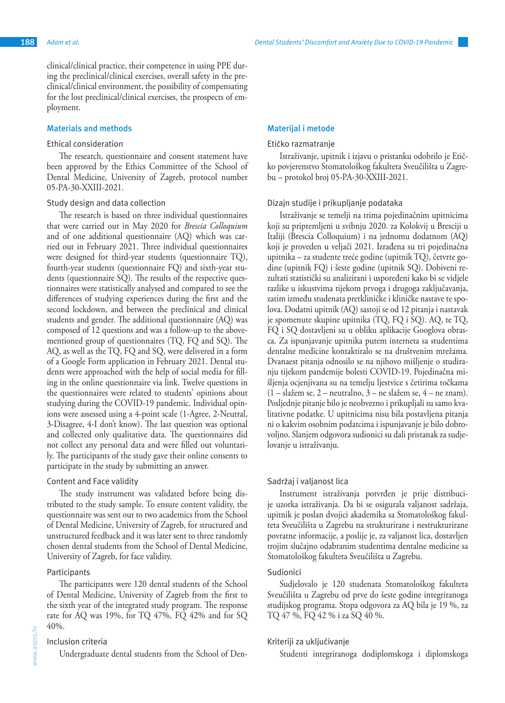clinical/clinical practice, their competence in using PPE during the preclinical/clinical exercises, overall safety in the preclinical/clinical environment, the possibility of compensating for the lost preclinical/clinical exercises, the prospects of employment.

## **Materials and methods**

## Ethical consideration

The research, questionnaire and consent statement have been approved by the Ethics Committee of the School of Dental Medicine, University of Zagreb, protocol number 05-PA-30-XXIII-2021.

#### Study design and data collection

The research is based on three individual questionnaires that were carried out in May 2020 for *Brescia Colloquium* and of one additional questionnaire (AQ) which was carried out in February 2021. Three individual questionnaires were designed for third-year students (questionnaire TQ), fourth-year students (questionnaire FQ) and sixth-year students (questionnaire SQ). The results of the respective questionnaires were statistically analysed and compared to see the differences of studying experiences during the first and the second lockdown, and between the preclinical and clinical students and gender. The additional questionnaire (AQ) was composed of 12 questions and was a follow-up to the abovementioned group of questionnaires (TQ, FQ and SQ). The AQ, as well as the TQ, FQ and SQ, were delivered in a form of a Google Form application in February 2021. Dental students were approached with the help of social media for filling in the online questionnaire via link. Twelve questions in the questionnaires were related to students' opinions about studying during the COVID-19 pandemic. Individual opinions were assessed using a 4-point scale (1-Agree, 2-Neutral, 3-Disagree, 4-I don't know). The last question was optional and collected only qualitative data. The questionnaires did not collect any personal data and were filled out voluntarily. The participants of the study gave their online consents to participate in the study by submitting an answer.

## Content and Face validity

The study instrument was validated before being distributed to the study sample. To ensure content validity, the questionnaire was sent out to two academics from the School of Dental Medicine, University of Zagreb, for structured and unstructured feedback and it was later sent to three randomly chosen dental students from the School of Dental Medicine, University of Zagreb, for face validity.

## Participants

The participants were 120 dental students of the School of Dental Medicine, University of Zagreb from the first to the sixth year of the integrated study program. The response rate for AQ was 19%, for TQ 47%, FQ 42% and for SQ 40%.

# Inclusion criteria

Undergraduate dental students from the School of Den-

#### **Materijal i metode**

#### Etičko razmatranje

Istraživanje, upitnik i izjavu o pristanku odobrilo je Etičko povjerenstvo Stomatološkog fakulteta Sveučilišta u Zagrebu – protokol broj 05-PA-30-XXIII-2021.

#### Dizajn studije i prikupljanje podataka

Istraživanje se temelji na trima pojedinačnim upitnicima koji su pripremljeni u svibnju 2020. za Kolokvij u Bresciji u Italiji (Brescia Colloquium) i na jednomu dodatnom (AQ) koji je proveden u veljači 2021. Izrađena su tri pojedinačna upitnika – za studente treće godine (upitnik TQ), četvrte godine (upitnik FQ) i šeste godine (upitnik SQ). Dobiveni rezultati statistički su analizirani i uspoređeni kako bi se vidjele razlike u iskustvima tijekom prvoga i drugoga zaključavanja, zatim između studenata pretkliničke i kliničke nastave te spolova. Dodatni upitnik (AQ) sastoji se od 12 pitanja i nastavak je spomenute skupine upitnika (TQ, FQ i SQ). AQ, te TQ, FQ i SQ dostavljeni su u obliku aplikacije Googlova obrasca. Za ispunjavanje upitnika putem interneta sa studentima dentalne medicine kontaktiralo se na društvenim mrežama. Dvanaest pitanja odnosilo se na njihovo mišljenje o studiranju tijekom pandemije bolesti COVID-19. Pojedinačna mišljenja ocjenjivana su na temelju ljestvice s četirima točkama (1 – slažem se, 2 – neutralno, 3 – ne slažem se, 4 – ne znam). Posljednje pitanje bilo je neobvezno i prikupljali su samo kvalitativne podatke. U upitnicima nisu bila postavljena pitanja ni o kakvim osobnim podatcima i ispunjavanje je bilo dobrovoljno. Slanjem odgovora sudionici su dali pristanak za sudjelovanje u istraživanju.

## Sadržaj i valjanost lica

Instrument istraživanja potvrđen je prije distribucije uzorka istraživanja. Da bi se osigurala valjanost sadržaja, upitnik je poslan dvojici akademika sa Stomatološkog fakulteta Sveučilišta u Zagrebu na strukturirane i nestrukturirane povratne informacije, a poslije je, za valjanost lica, dostavljen trojim slučajno odabranim studentima dentalne medicine sa Stomatološkog fakulteta Sveučilišta u Zagrebu.

## Sudionici

Sudjelovalo je 120 studenata Stomatološkog fakulteta Sveučilišta u Zagrebu od prve do šeste godine integriranoga studijskog programa. Stopa odgovora za AQ bila je 19 %, za TQ 47 %, FQ 42 % i za SQ 40 %.

## Kriteriji za uključivanje

Studenti integriranoga dodiplomskoga i diplomskoga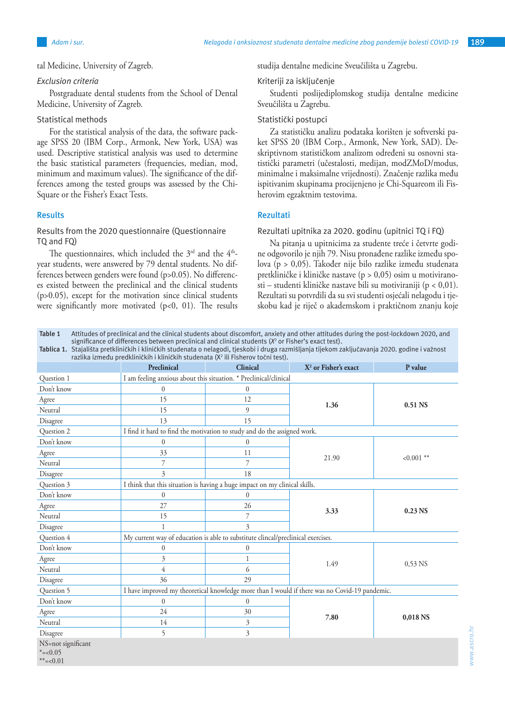tal Medicine, University of Zagreb.

## *Exclusion criteria*

Postgraduate dental students from the School of Dental Medicine, University of Zagreb.

# Statistical methods

For the statistical analysis of the data, the software package SPSS 20 (IBM Corp., Armonk, New York, USA) was used. Descriptive statistical analysis was used to determine the basic statistical parameters (frequencies, median, mod, minimum and maximum values). The significance of the differences among the tested groups was assessed by the Chi-Square or the Fisher's Exact Tests.

## **Results**

# Results from the 2020 questionnaire (Questionnaire TQ and FQ)

The questionnaires, which included the  $3<sup>rd</sup>$  and the  $4<sup>th</sup>$ year students, were answered by 79 dental students. No differences between genders were found (p>0.05). No differences existed between the preclinical and the clinical students  $(p>0.05)$ , except for the motivation since clinical students were significantly more motivated  $(p<0, 01)$ . The results studija dentalne medicine Sveučilišta u Zagrebu.

# Kriteriji za isključenje

Studenti poslijediplomskog studija dentalne medicine Sveučilišta u Zagrebu.

# Statistički postupci

Za statističku analizu podataka korišten je softverski paket SPSS 20 (IBM Corp., Armonk, New York, SAD). Deskriptivnom statističkom analizom određeni su osnovni statistički parametri (učestalosti, medijan, modZMoD/modus, minimalne i maksimalne vrijednosti). Značenje razlika među ispitivanim skupinama procijenjeno je Chi-Squareom ili Fisherovim egzaktnim testovima.

# **Rezultati**

## Rezultati upitnika za 2020. godinu (upitnici TQ i FQ)

Na pitanja u upitnicima za studente treće i četvrte godine odgovorilo je njih 79. Nisu pronađene razlike između spolova (p > 0,05). Također nije bilo razlike između studenata pretkliničke i kliničke nastave (p > 0,05) osim u motiviranosti – studenti kliničke nastave bili su motiviraniji (p < 0,01). Rezultati su potvrdili da su svi studenti osjećali nelagodu i tjeskobu kad je riječ o akademskom i praktičnom znanju koje

**Table 1** Attitudes of preclinical and the clinical students about discomfort, anxiety and other attitudes during the post-lockdown 2020, and significance of differences between preclinical and clinical students (*X*<sup>2</sup> or Fisher's exact test).

**Tablica 1.** Stajališta pretkliničkih i kliničkih studenata o nelagodi, tjeskobi i druga razmišljanja tijekom zaključavanja 2020. godine i važnost razlika između predkliničkih i kliničkih studenata (X<sup>2</sup> ili Fisherov točni test).

|                                                 | Taziina izmcau preunimenin'i nimenin studenatu (A-Tit Hshcrov tochi test).<br>Preclinical     | <b>Clinical</b> | X <sup>2</sup> or Fisher's exact | P value      |  |  |
|-------------------------------------------------|-----------------------------------------------------------------------------------------------|-----------------|----------------------------------|--------------|--|--|
| Question 1                                      | I am feeling anxious about this situation. * Preclinical/clinical                             |                 |                                  |              |  |  |
| Don't know                                      | $\theta$                                                                                      | $\theta$        | 1.36                             | 0.51 NS      |  |  |
| Agree                                           | 15                                                                                            | 12              |                                  |              |  |  |
| Neutral                                         | 15                                                                                            | $\mathfrak{g}$  |                                  |              |  |  |
| Disagree                                        | 13                                                                                            | 15              |                                  |              |  |  |
| Question 2                                      | I find it hard to find the motivation to study and do the assigned work.                      |                 |                                  |              |  |  |
| Don't know                                      | $\mathbf{0}$                                                                                  | $\mathbf{0}$    | 21.90                            | $< 0.001$ ** |  |  |
| Agree                                           | 33                                                                                            | 11              |                                  |              |  |  |
| Neutral                                         | 7                                                                                             | 7               |                                  |              |  |  |
| Disagree                                        | $\overline{\mathcal{E}}$                                                                      | 18              |                                  |              |  |  |
| Question 3                                      | I think that this situation is having a huge impact on my clinical skills.                    |                 |                                  |              |  |  |
| Don't know                                      | $\mathbf{0}$                                                                                  | $\theta$        |                                  | $0.23$ NS    |  |  |
| Agree                                           | 27                                                                                            | 26              |                                  |              |  |  |
| Neutral                                         | 15                                                                                            | 7               | 3.33                             |              |  |  |
| Disagree                                        | $\mathbf{1}$                                                                                  | 3               |                                  |              |  |  |
| Question 4                                      | My current way of education is able to substitute clincal/preclinical exercises.              |                 |                                  |              |  |  |
| Don't know                                      | $\boldsymbol{0}$                                                                              | $\theta$        | 1.49                             | $0,53$ NS    |  |  |
| Agree                                           | 3                                                                                             | 1               |                                  |              |  |  |
| Neutral                                         | 4                                                                                             | 6               |                                  |              |  |  |
| Disagree                                        | 36                                                                                            | 29              |                                  |              |  |  |
| Question 5                                      | I have improved my theoretical knowledge more than I would if there was no Covid-19 pandemic. |                 |                                  |              |  |  |
| Don't know                                      | $\mathbf{0}$                                                                                  | $\mathbf{0}$    | 7.80                             | 0,018 NS     |  |  |
| Agree                                           | 24                                                                                            | 30              |                                  |              |  |  |
| Neutral                                         | 14                                                                                            | 3               |                                  |              |  |  |
| Disagree                                        | 5                                                                                             | 3               |                                  |              |  |  |
| NS=not significant<br>$* = 0.05$<br>$***=<0.01$ |                                                                                               |                 |                                  |              |  |  |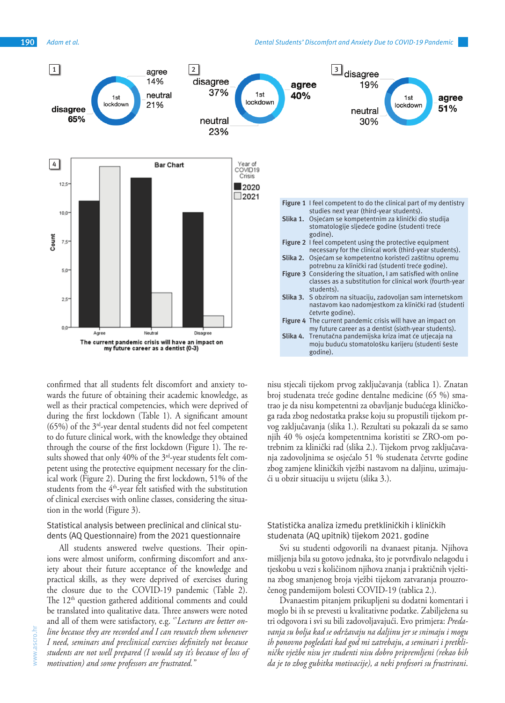

confirmed that all students felt discomfort and anxiety towards the future of obtaining their academic knowledge, as well as their practical competencies, which were deprived of during the first lockdown (Table 1). A significant amount (65%) of the 3rd-year dental students did not feel competent to do future clinical work, with the knowledge they obtained through the course of the first lockdown (Figure 1). The results showed that only  $40\%$  of the  $3<sup>rd</sup>$ -year students felt competent using the protective equipment necessary for the clinical work (Figure 2). During the first lockdown, 51% of the students from the 4<sup>th</sup>-year felt satisfied with the substitution of clinical exercises with online classes, considering the situation in the world (Figure 3).

# Statistical analysis between preclinical and clinical students (AQ Questionnaire) from the 2021 questionnaire

All students answered twelve questions. Their opinions were almost uniform, confirming discomfort and anxiety about their future acceptance of the knowledge and practical skills, as they were deprived of exercises during the closure due to the COVID-19 pandemic (Table 2). The  $12<sup>th</sup>$  question gathered additional comments and could be translated into qualitative data. Three answers were noted and all of them were satisfactory, e.g. ''*Lectures are better online because they are recorded and I can rewatch them whenever I need, seminars and preclinical exercises definitely not because students are not well prepared (I would say it's because of loss of motivation) and some professors are frustrated.''*

nisu stjecali tijekom prvog zaključavanja (tablica 1). Znatan broj studenata treće godine dentalne medicine (65 %) smatrao je da nisu kompetentni za obavljanje budućega kliničkoga rada zbog nedostatka prakse koju su propustili tijekom prvog zaključavanja (slika 1.). Rezultati su pokazali da se samo njih 40 % osjeća kompetentnima koristiti se ZRO-om potrebnim za klinički rad (slika 2.). Tijekom prvog zaključavanja zadovoljnima se osjećalo 51 % studenata četvrte godine zbog zamjene kliničkih vježbi nastavom na daljinu, uzimajući u obzir situaciju u svijetu (slika 3.).

# Statistička analiza između pretkliničkih i kliničkih studenata (AQ upitnik) tijekom 2021. godine

Svi su studenti odgovorili na dvanaest pitanja. Njihova mišljenja bila su gotovo jednaka, što je potvrđivalo nelagodu i tjeskobu u vezi s količinom njihova znanja i praktičnih vještina zbog smanjenog broja vježbi tijekom zatvaranja prouzročenog pandemijom bolesti COVID-19 (tablica 2.).

Dvanaestim pitanjem prikupljeni su dodatni komentari i moglo bi ih se prevesti u kvalitativne podatke. Zabilježena su tri odgovora i svi su bili zadovoljavajući. Evo primjera: *Predavanja su bolja kad se održavaju na daljinu jer se snimaju i mogu ih ponovno pogledati kad god mi zatrebaju*, *a seminari i pretkliničke vježbe nisu jer studenti nisu dobro pripremljeni (rekao bih da je to zbog gubitka motivacije), a neki profesori su frustrirani*.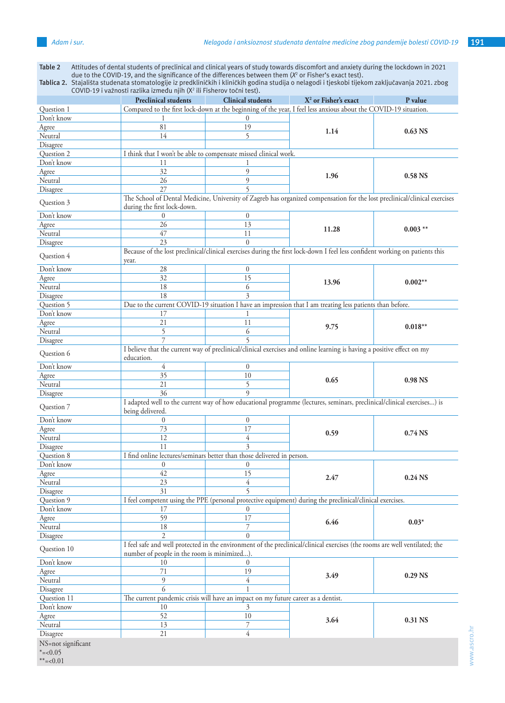**Table 2** Attitudes of dental students of preclinical and clinical years of study towards discomfort and anxiety during the lockdown in 2021 due to the COVID-19, and the significance of the differences between them (*X*<sup>2</sup> or Fisher's exact test).

|                    | COVID-19 i važnosti razlika između njih (X <sup>2</sup> ili Fisherov točni test). |                                                                                                                                                                            |                                                                                                                              |                     |  |  |  |
|--------------------|-----------------------------------------------------------------------------------|----------------------------------------------------------------------------------------------------------------------------------------------------------------------------|------------------------------------------------------------------------------------------------------------------------------|---------------------|--|--|--|
|                    | <b>Preclinical students</b>                                                       | <b>Clinical students</b>                                                                                                                                                   | $X2$ or Fisher's exact                                                                                                       | P value             |  |  |  |
| Question 1         |                                                                                   | Compared to the first lock-down at the beginning of the year, I feel less anxious about the COVID-19 situation.                                                            |                                                                                                                              |                     |  |  |  |
| Don't know         |                                                                                   | $\theta$                                                                                                                                                                   |                                                                                                                              |                     |  |  |  |
| Agree              | 81                                                                                | 19                                                                                                                                                                         | 1.14                                                                                                                         | $0.63$ NS           |  |  |  |
| Neutral            | 14                                                                                | 5                                                                                                                                                                          |                                                                                                                              |                     |  |  |  |
| Disagree           |                                                                                   |                                                                                                                                                                            |                                                                                                                              |                     |  |  |  |
| Question 2         |                                                                                   | I think that I won't be able to compensate missed clinical work.                                                                                                           |                                                                                                                              |                     |  |  |  |
| Don't know         | 11                                                                                |                                                                                                                                                                            |                                                                                                                              |                     |  |  |  |
| Agree              | 32                                                                                | 9                                                                                                                                                                          |                                                                                                                              | 0.58 NS             |  |  |  |
| Neutral            | 26                                                                                | 9                                                                                                                                                                          | 1.96                                                                                                                         |                     |  |  |  |
| Disagree           | 27                                                                                | $\overline{\phantom{0}}$                                                                                                                                                   |                                                                                                                              |                     |  |  |  |
|                    |                                                                                   | The School of Dental Medicine, University of Zagreb has organized compensation for the lost preclinical/clinical exercises                                                 |                                                                                                                              |                     |  |  |  |
| Question 3         | during the first lock-down.                                                       |                                                                                                                                                                            |                                                                                                                              |                     |  |  |  |
| Don't know         | $\overline{0}$                                                                    | $\overline{0}$                                                                                                                                                             |                                                                                                                              |                     |  |  |  |
| Agree              | 26                                                                                | 13                                                                                                                                                                         |                                                                                                                              | $0.003$ **          |  |  |  |
| Neutral            | 47                                                                                | 11                                                                                                                                                                         | 11.28                                                                                                                        |                     |  |  |  |
| Disagree           | 23                                                                                | $\theta$                                                                                                                                                                   |                                                                                                                              |                     |  |  |  |
|                    |                                                                                   |                                                                                                                                                                            | Because of the lost preclinical/clinical exercises during the first lock-down I feel less confident working on patients this |                     |  |  |  |
| Question 4         |                                                                                   |                                                                                                                                                                            |                                                                                                                              |                     |  |  |  |
| Don't know         | year.<br>28                                                                       | $\boldsymbol{0}$                                                                                                                                                           |                                                                                                                              |                     |  |  |  |
|                    | $\overline{32}$                                                                   | $\overline{15}$                                                                                                                                                            |                                                                                                                              | $0.002**$           |  |  |  |
| Agree              |                                                                                   |                                                                                                                                                                            | 13.96                                                                                                                        |                     |  |  |  |
| Neutral            | 18                                                                                | 6                                                                                                                                                                          |                                                                                                                              |                     |  |  |  |
| Disagree           | 18                                                                                | 3                                                                                                                                                                          |                                                                                                                              |                     |  |  |  |
| Question 5         |                                                                                   |                                                                                                                                                                            | Due to the current COVID-19 situation I have an impression that I am treating less patients than before.                     |                     |  |  |  |
| Don't know         | 17                                                                                | 1                                                                                                                                                                          |                                                                                                                              | $0.018**$           |  |  |  |
| Agree              | 21                                                                                | 11                                                                                                                                                                         | 9.75                                                                                                                         |                     |  |  |  |
| Neutral            | 5                                                                                 | 6                                                                                                                                                                          |                                                                                                                              |                     |  |  |  |
| Disagree           |                                                                                   |                                                                                                                                                                            |                                                                                                                              |                     |  |  |  |
| Question 6         | education.                                                                        |                                                                                                                                                                            | I believe that the current way of preclinical/clinical exercises and online learning is having a positive effect on my       |                     |  |  |  |
| Don't know         | $\overline{4}$                                                                    | $\mathbf{0}$                                                                                                                                                               |                                                                                                                              |                     |  |  |  |
| Agree              | 35                                                                                | 10                                                                                                                                                                         |                                                                                                                              | 0.98 <sub>NS</sub>  |  |  |  |
| Neutral            | 21                                                                                | 5                                                                                                                                                                          | 0.65                                                                                                                         |                     |  |  |  |
|                    | 36                                                                                | $\mathbf Q$                                                                                                                                                                |                                                                                                                              |                     |  |  |  |
| Disagree           |                                                                                   |                                                                                                                                                                            | I adapted well to the current way of how educational programme (lectures, seminars, preclinical/clinical exercises) is       |                     |  |  |  |
| Question 7         |                                                                                   |                                                                                                                                                                            |                                                                                                                              |                     |  |  |  |
|                    | being delivered.                                                                  |                                                                                                                                                                            |                                                                                                                              |                     |  |  |  |
| Don't know         | 0                                                                                 | $\boldsymbol{0}$                                                                                                                                                           |                                                                                                                              | 0.74 <sub>N</sub>   |  |  |  |
| Agree              | 73                                                                                | 17                                                                                                                                                                         | 0.59                                                                                                                         |                     |  |  |  |
| Neutral            | 12                                                                                | 4                                                                                                                                                                          |                                                                                                                              |                     |  |  |  |
| Disagree           | 11                                                                                | 3                                                                                                                                                                          |                                                                                                                              |                     |  |  |  |
| Question 8         |                                                                                   | I find online lectures/seminars better than those delivered in person.                                                                                                     |                                                                                                                              |                     |  |  |  |
| Don't know         | $\boldsymbol{0}$                                                                  | $\theta$                                                                                                                                                                   |                                                                                                                              |                     |  |  |  |
| Agree              | 42                                                                                | 15                                                                                                                                                                         | 2.47                                                                                                                         | 0.24 NS             |  |  |  |
| Neutral            | 23                                                                                | 4                                                                                                                                                                          |                                                                                                                              |                     |  |  |  |
| Disagree           | 31                                                                                | $\overline{5}$                                                                                                                                                             |                                                                                                                              |                     |  |  |  |
| Question 9         |                                                                                   |                                                                                                                                                                            | I feel competent using the PPE (personal protective equipment) during the preclinical/clinical exercises.                    |                     |  |  |  |
| Don't know         | 17                                                                                | $\left($                                                                                                                                                                   |                                                                                                                              |                     |  |  |  |
| Agree              | 59                                                                                | 17                                                                                                                                                                         |                                                                                                                              | $0.03*$             |  |  |  |
| Neutral            | 18                                                                                | 7                                                                                                                                                                          | 6.46                                                                                                                         |                     |  |  |  |
| Disagree           | 2                                                                                 | $\theta$                                                                                                                                                                   |                                                                                                                              |                     |  |  |  |
|                    |                                                                                   |                                                                                                                                                                            |                                                                                                                              |                     |  |  |  |
| Question 10        |                                                                                   | I feel safe and well protected in the environment of the preclinical/clinical exercises (the rooms are well ventilated; the<br>number of people in the room is minimized). |                                                                                                                              |                     |  |  |  |
| Don't know         | 10                                                                                | $\bf{0}$                                                                                                                                                                   |                                                                                                                              |                     |  |  |  |
| Agree              | 71                                                                                | 19                                                                                                                                                                         |                                                                                                                              | 0.29 <sub>N</sub> S |  |  |  |
| Neutral            | $\mathfrak{g}$                                                                    | 4                                                                                                                                                                          | 3.49                                                                                                                         |                     |  |  |  |
|                    |                                                                                   |                                                                                                                                                                            |                                                                                                                              |                     |  |  |  |
| Disagree           | 6                                                                                 |                                                                                                                                                                            |                                                                                                                              |                     |  |  |  |
| Question 11        |                                                                                   | The current pandemic crisis will have an impact on my future career as a dentist.                                                                                          |                                                                                                                              |                     |  |  |  |
| Don't know         | 10                                                                                | 3                                                                                                                                                                          |                                                                                                                              |                     |  |  |  |
| Agree              | 52                                                                                | 10                                                                                                                                                                         | 3.64                                                                                                                         | 0.31 NS             |  |  |  |
| Neutral            | 13                                                                                | 7                                                                                                                                                                          |                                                                                                                              |                     |  |  |  |
| Disagree           | 21                                                                                | $\overline{4}$                                                                                                                                                             |                                                                                                                              |                     |  |  |  |
| NS=not significant |                                                                                   |                                                                                                                                                                            |                                                                                                                              |                     |  |  |  |
| $* = 0.05$         |                                                                                   |                                                                                                                                                                            |                                                                                                                              |                     |  |  |  |

\*\*= $< 0.01$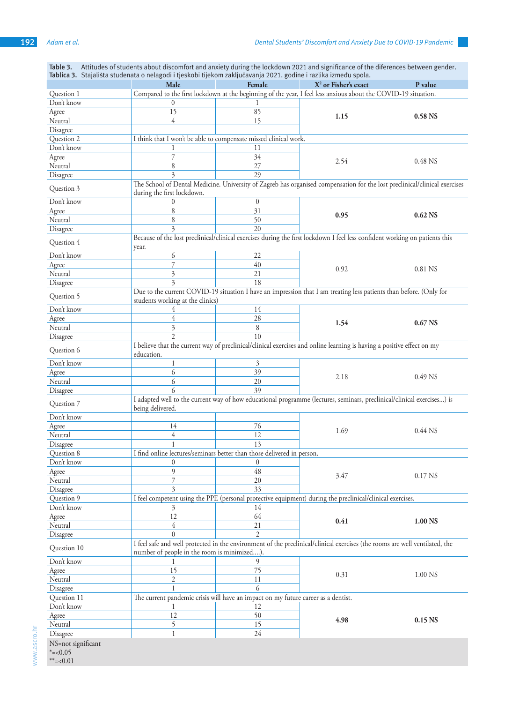|                                  | Male                                                                                                                                                     | Female                                                                            | X <sup>2</sup> or Fisher's exact                                                                                            | P value            |  |  |  |
|----------------------------------|----------------------------------------------------------------------------------------------------------------------------------------------------------|-----------------------------------------------------------------------------------|-----------------------------------------------------------------------------------------------------------------------------|--------------------|--|--|--|
| Question 1                       | Compared to the first lockdown at the beginning of the year, I feel less anxious about the COVID-19 situation.                                           |                                                                                   |                                                                                                                             |                    |  |  |  |
| Don't know                       | $\theta$                                                                                                                                                 | 1                                                                                 |                                                                                                                             |                    |  |  |  |
| Agree                            | 15                                                                                                                                                       | 85                                                                                | 1.15                                                                                                                        |                    |  |  |  |
| Neutral                          | 4                                                                                                                                                        | 15                                                                                |                                                                                                                             | 0.58 NS            |  |  |  |
| Disagree                         |                                                                                                                                                          |                                                                                   |                                                                                                                             |                    |  |  |  |
| Question 2                       | I think that I won't be able to compensate missed clinical work.                                                                                         |                                                                                   |                                                                                                                             |                    |  |  |  |
| Don't know                       |                                                                                                                                                          | 11                                                                                |                                                                                                                             |                    |  |  |  |
| Agree                            | 7                                                                                                                                                        | 34                                                                                | 2.54                                                                                                                        | 0.48 NS            |  |  |  |
| Neutral                          | 8                                                                                                                                                        | 27                                                                                |                                                                                                                             |                    |  |  |  |
| Disagree                         | $\overline{\mathcal{E}}$                                                                                                                                 | 29                                                                                |                                                                                                                             |                    |  |  |  |
| Question 3                       | The School of Dental Medicine. University of Zagreb has organised compensation for the lost preclinical/clinical exercises<br>during the first lockdown. |                                                                                   |                                                                                                                             |                    |  |  |  |
| Don't know                       | $\mathbf{0}$                                                                                                                                             | $\boldsymbol{0}$                                                                  |                                                                                                                             |                    |  |  |  |
| Agree                            | 8                                                                                                                                                        | 31                                                                                |                                                                                                                             | $0.62$ NS          |  |  |  |
| Neutral                          | 8                                                                                                                                                        | 50                                                                                | 0.95                                                                                                                        |                    |  |  |  |
| Disagree                         | 3                                                                                                                                                        | 20                                                                                |                                                                                                                             |                    |  |  |  |
|                                  |                                                                                                                                                          |                                                                                   | Because of the lost preclinical/clinical exercises during the first lockdown I feel less confident working on patients this |                    |  |  |  |
| Question 4                       | year.                                                                                                                                                    |                                                                                   |                                                                                                                             |                    |  |  |  |
| Don't know                       | 6                                                                                                                                                        | 22                                                                                |                                                                                                                             | 0.81 NS            |  |  |  |
| Agree                            | 7                                                                                                                                                        | 40                                                                                | 0.92                                                                                                                        |                    |  |  |  |
| Neutral                          | 3                                                                                                                                                        | 21                                                                                |                                                                                                                             |                    |  |  |  |
| Disagree                         | 3                                                                                                                                                        | 18                                                                                |                                                                                                                             |                    |  |  |  |
| Question 5                       | Due to the current COVID-19 situation I have an impression that I am treating less patients than before. (Only for<br>students working at the clinics)   |                                                                                   |                                                                                                                             |                    |  |  |  |
| Don't know                       | 4                                                                                                                                                        | 14                                                                                |                                                                                                                             |                    |  |  |  |
| Agree                            | 4                                                                                                                                                        | 28                                                                                |                                                                                                                             | 0.67 NS            |  |  |  |
| Neutral                          | 3                                                                                                                                                        | 8                                                                                 | 1.54                                                                                                                        |                    |  |  |  |
| Disagree                         | $\mathfrak{D}$                                                                                                                                           | 10                                                                                |                                                                                                                             |                    |  |  |  |
| Question 6                       |                                                                                                                                                          |                                                                                   | I believe that the current way of preclinical/clinical exercises and online learning is having a positive effect on my      |                    |  |  |  |
|                                  | education.                                                                                                                                               |                                                                                   |                                                                                                                             |                    |  |  |  |
| Don't know                       | 1                                                                                                                                                        | $\mathfrak{Z}$                                                                    |                                                                                                                             |                    |  |  |  |
| Agree                            | 6                                                                                                                                                        | 39                                                                                | 2.18                                                                                                                        | 0.49 NS            |  |  |  |
| Neutral                          | 6                                                                                                                                                        | 20                                                                                |                                                                                                                             |                    |  |  |  |
| Disagree                         | 6                                                                                                                                                        | 39                                                                                |                                                                                                                             |                    |  |  |  |
| Question 7                       | being delivered.                                                                                                                                         |                                                                                   | I adapted well to the current way of how educational programme (lectures, seminars, preclinical/clinical exercises) is      |                    |  |  |  |
| Don't know                       |                                                                                                                                                          |                                                                                   |                                                                                                                             |                    |  |  |  |
| Agree                            | 14                                                                                                                                                       | $76\,$                                                                            | 1.69                                                                                                                        | 0.44 NS            |  |  |  |
| Neutral                          | 4                                                                                                                                                        | 12                                                                                |                                                                                                                             |                    |  |  |  |
| Disagree                         |                                                                                                                                                          | 13                                                                                |                                                                                                                             |                    |  |  |  |
| Question 8                       |                                                                                                                                                          | I find online lectures/seminars better than those delivered in person.            |                                                                                                                             |                    |  |  |  |
| Don't know                       | $\boldsymbol{0}$                                                                                                                                         | $\mathbf{0}$                                                                      |                                                                                                                             |                    |  |  |  |
| Agree                            | 9                                                                                                                                                        | 48                                                                                |                                                                                                                             | 0.17 NS            |  |  |  |
| Neutral                          | $\overline{7}$                                                                                                                                           | 20                                                                                | 3.47                                                                                                                        |                    |  |  |  |
| Disagree                         | 3                                                                                                                                                        | 33                                                                                |                                                                                                                             |                    |  |  |  |
| Question 9                       |                                                                                                                                                          |                                                                                   | I feel competent using the PPE (personal protective equipment) during the preclinical/clinical exercises.                   |                    |  |  |  |
| Don't know                       | 3                                                                                                                                                        | 14                                                                                |                                                                                                                             |                    |  |  |  |
| Agree                            | 12                                                                                                                                                       | 64                                                                                | 0.41                                                                                                                        | 1.00 NS            |  |  |  |
| Neutral                          | 4                                                                                                                                                        | 21                                                                                |                                                                                                                             |                    |  |  |  |
| Disagree                         | $\theta$                                                                                                                                                 | $\mathfrak{D}$                                                                    |                                                                                                                             |                    |  |  |  |
| Question 10                      | number of people in the room is minimized).                                                                                                              |                                                                                   | I feel safe and well protected in the environment of the preclinical/clinical exercises (the rooms are well ventilated, the |                    |  |  |  |
| Don't know                       | 1                                                                                                                                                        | 9                                                                                 |                                                                                                                             |                    |  |  |  |
| Agree                            | 15                                                                                                                                                       | 75                                                                                | 0.31                                                                                                                        | 1.00 NS            |  |  |  |
| Neutral                          | 2                                                                                                                                                        | 11                                                                                |                                                                                                                             |                    |  |  |  |
| Disagree                         | $\mathbf{1}$                                                                                                                                             | 6                                                                                 |                                                                                                                             |                    |  |  |  |
| Question 11                      |                                                                                                                                                          | The current pandemic crisis will have an impact on my future career as a dentist. |                                                                                                                             |                    |  |  |  |
| Don't know                       |                                                                                                                                                          | 12                                                                                |                                                                                                                             |                    |  |  |  |
|                                  | 12                                                                                                                                                       | 50                                                                                | 4.98                                                                                                                        |                    |  |  |  |
| Agree<br>Neutral                 | 5                                                                                                                                                        | 15                                                                                |                                                                                                                             | 0.15 <sub>NS</sub> |  |  |  |
|                                  | $\mathbf{1}$                                                                                                                                             | 24                                                                                |                                                                                                                             |                    |  |  |  |
| Disagree                         |                                                                                                                                                          |                                                                                   |                                                                                                                             |                    |  |  |  |
| NS=not significant<br>$* = 0.05$ |                                                                                                                                                          |                                                                                   |                                                                                                                             |                    |  |  |  |
| $** - 0.01$                      |                                                                                                                                                          |                                                                                   |                                                                                                                             |                    |  |  |  |

**Table 3.** Attitudes of students about discomfort and anxiety during the lockdown 2021 and significance of the diferences between gender. **Tablica 3.** Stajališta studenata o nelagodi i tjeskobi tijekom zaključavanja 2021. godine i razlika između spola.

 $\mathbb{R}^n$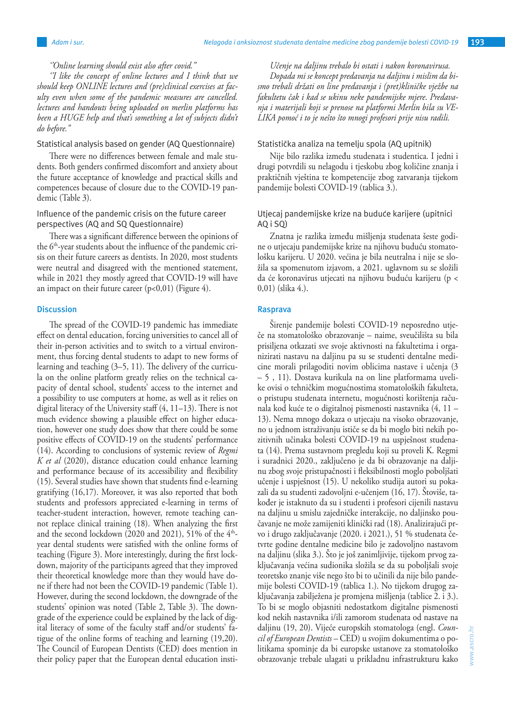*''Online learning should exist also after covid.''*

*''I like the concept of online lectures and I think that we should keep ONLINE lectures and (pre)clinical exercises at faculty even when some of the pandemic measures are cancelled. lectures and handouts being uploaded on merlin platforms has been a HUGE help and that's something a lot of subjects didn't do before.''*

# Statistical analysis based on gender (AQ Questionnaire)

There were no differences between female and male students. Both genders confirmed discomfort and anxiety about the future acceptance of knowledge and practical skills and competences because of closure due to the COVID-19 pandemic (Table 3).

# Influence of the pandemic crisis on the future career perspectives (AQ and SQ Questionnaire)

There was a significant difference between the opinions of the 6<sup>th</sup>-year students about the influence of the pandemic crisis on their future careers as dentists. In 2020, most students were neutral and disagreed with the mentioned statement, while in 2021 they mostly agreed that COVID-19 will have an impact on their future career  $(p<0.01)$  (Figure 4).

# **Discussion**

The spread of the COVID-19 pandemic has immediate effect on dental education, forcing universities to cancel all of their in-person activities and to switch to a virtual environment, thus forcing dental students to adapt to new forms of learning and teaching (3–5, 11). The delivery of the curricula on the online platform greatly relies on the technical capacity of dental school, students' access to the internet and a possibility to use computers at home, as well as it relies on digital literacy of the University staff (4, 11–13). There is not much evidence showing a plausible effect on higher education, however one study does show that there could be some positive effects of COVID-19 on the students' performance (14). According to conclusions of systemic review of *Regmi K et al* (2020), distance education could enhance learning and performance because of its accessibility and flexibility (15). Several studies have shown that students find e-learning gratifying (16,17). Moreover, it was also reported that both students and professors appreciated e-learning in terms of teacher-student interaction, however, remote teaching cannot replace clinical training (18). When analyzing the first and the second lockdown (2020 and 2021), 51% of the  $4<sup>th</sup>$ year dental students were satisfied with the online forms of teaching (Figure 3). More interestingly, during the first lockdown, majority of the participants agreed that they improved their theoretical knowledge more than they would have done if there had not been the COVID-19 pandemic (Table 1). However, during the second lockdown, the downgrade of the students' opinion was noted (Table 2, Table 3). The downgrade of the experience could be explained by the lack of digital literacy of some of the faculty staff and/or students' fatigue of the online forms of teaching and learning (19,20). The Council of European Dentists (CED) does mention in their policy paper that the European dental education insti-

*Učenje na daljinu trebalo bi ostati i nakon koronavirusa. Dopada mi se koncept predavanja na daljinu i mislim da bismo trebali držati on line predavanja i (pret)kliničke vježbe na fakultetu čak i kad se ukinu neke pandemijske mjere*. *Predavanja i materijali koji se prenose na platformi Merlin bila su VE-LIKA pomoć i to je nešto što mnogi profesori prije nisu radili.* 

## Statistička analiza na temelju spola (AQ upitnik)

Nije bilo razlika između studenata i studentica. I jedni i drugi potvrdili su nelagodu i tjeskobu zbog količine znanja i praktičnih vještina te kompetencije zbog zatvaranja tijekom pandemije bolesti COVID-19 (tablica 3.).

# Utjecaj pandemijske krize na buduće karijere (upitnici AQ i SQ)

Znatna je razlika između mišljenja studenata šeste godine o utjecaju pandemijske krize na njihovu buduću stomatološku karijeru. U 2020. većina je bila neutralna i nije se složila sa spomenutom izjavom, a 2021. uglavnom su se složili da će koronavirus utjecati na njihovu buduću karijeru (p < 0,01) (slika 4.).

# **Rasprava**

Širenje pandemije bolesti COVID-19 neposredno utječe na stomatološko obrazovanje – naime, sveučilišta su bila prisiljena otkazati sve svoje aktivnosti na fakultetima i organizirati nastavu na daljinu pa su se studenti dentalne medicine morali prilagoditi novim oblicima nastave i učenja (3 – 5 , 11). Dostava kurikula na on line platformama uvelike ovisi o tehničkim mogućnostima stomatoloških fakulteta, o pristupu studenata internetu, mogućnosti korištenja računala kod kuće te o digitalnoj pismenosti nastavnika (4, 11 – 13). Nema mnogo dokaza o utjecaju na visoko obrazovanje, no u jednom istraživanju ističe se da bi moglo biti nekih pozitivnih učinaka bolesti COVID-19 na uspješnost studenata (14). Prema sustavnom pregledu koji su proveli K. Regmi i suradnici 2020., zaključeno je da bi obrazovanje na daljinu zbog svoje pristupačnosti i fleksibilnosti moglo poboljšati učenje i uspješnost (15). U nekoliko studija autori su pokazali da su studenti zadovoljni e-učenjem (16, 17). Štoviše, također je istaknuto da su i studenti i profesori cijenili nastavu na daljinu u smislu zajedničke interakcije, no daljinsko poučavanje ne može zamijeniti klinički rad (18). Analizirajući prvo i drugo zaključavanje (2020. i 2021.), 51 % studenata četvrte godine dentalne medicine bilo je zadovoljno nastavom na daljinu (slika 3.). Što je još zanimljivije, tijekom prvog zaključavanja većina sudionika složila se da su poboljšali svoje teoretsko znanje više nego što bi to učinili da nije bilo pandemije bolesti COVID-19 (tablica 1.). No tijekom drugog zaključavanja zabilježena je promjena mišljenja (tablice 2. i 3.). To bi se moglo objasniti nedostatkom digitalne pismenosti kod nekih nastavnika i/ili zamorom studenata od nastave na daljinu (19, 20). Vijeće europskih stomatologa (engl. *Council of European Dentists –* CED) u svojim dokumentima o politikama spominje da bi europske ustanove za stomatološko obrazovanje trebale ulagati u prikladnu infrastrukturu kako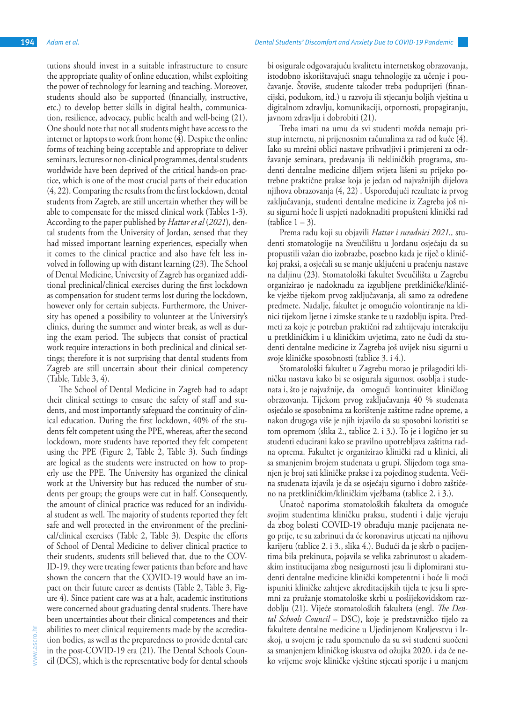tutions should invest in a suitable infrastructure to ensure the appropriate quality of online education, whilst exploiting the power of technology for learning and teaching. Moreover, students should also be supported (financially, instructive, etc.) to develop better skills in digital health, communication, resilience, advocacy, public health and well-being (21). One should note that not all students might have access to the internet or laptops to work from home (4). Despite the online forms of teaching being acceptable and appropriate to deliver seminars, lectures or non-clinical programmes, dental students worldwide have been deprived of the critical hands-on practice, which is one of the most crucial parts of their education (4, 22). Comparing the results from the first lockdown, dental students from Zagreb, are still uncertain whether they will be able to compensate for the missed clinical work (Tables 1-3). According to the paper published by *Hattar et al* (*2021*), dental students from the University of Jordan, sensed that they had missed important learning experiences, especially when it comes to the clinical practice and also have felt less involved in following up with distant learning (23). The School of Dental Medicine, University of Zagreb has organized additional preclinical/clinical exercises during the first lockdown as compensation for student terms lost during the lockdown, however only for certain subjects. Furthermore, the University has opened a possibility to volunteer at the University's clinics, during the summer and winter break, as well as dur-

ing the exam period. The subjects that consist of practical work require interactions in both preclinical and clinical settings; therefore it is not surprising that dental students from Zagreb are still uncertain about their clinical competency (Table, Table 3, 4).

The School of Dental Medicine in Zagreb had to adapt their clinical settings to ensure the safety of staff and students, and most importantly safeguard the continuity of clinical education. During the first lockdown, 40% of the students felt competent using the PPE, whereas, after the second lockdown, more students have reported they felt competent using the PPE (Figure 2, Table 2, Table 3). Such findings are logical as the students were instructed on how to properly use the PPE. The University has organized the clinical work at the University but has reduced the number of students per group; the groups were cut in half. Consequently, the amount of clinical practice was reduced for an individual student as well. The majority of students reported they felt safe and well protected in the environment of the preclinical/clinical exercises (Table 2, Table 3). Despite the efforts of School of Dental Medicine to deliver clinical practice to their students, students still believed that, due to the COV-ID-19, they were treating fewer patients than before and have shown the concern that the COVID-19 would have an impact on their future career as dentists (Table 2, Table 3, Figure 4). Since patient care was at a halt, academic institutions were concerned about graduating dental students. There have been uncertainties about their clinical competences and their abilities to meet clinical requirements made by the accreditation bodies, as well as the preparedness to provide dental care in the post-COVID-19 era (21). The Dental Schools Council (DCS), which is the representative body for dental schools

bi osigurale odgovarajuću kvalitetu internetskog obrazovanja, istodobno iskorištavajući snagu tehnologije za učenje i poučavanje. Štoviše, studente također treba poduprijeti (financijski, podukom, itd.) u razvoju ili stjecanju boljih vještina u digitalnom zdravlju, komunikaciji, otpornosti, propagiranju, javnom zdravlju i dobrobiti (21).

Treba imati na umu da svi studenti možda nemaju pristup internetu, ni prijenosnim računalima za rad od kuće (4). Iako su mrežni oblici nastave prihvatljivi i primjereni za održavanje seminara, predavanja ili nekliničkih programa, studenti dentalne medicine diljem svijeta lišeni su prijeko potrebne praktične prakse koja je jedan od najvažnijih dijelova njihova obrazovanja (4, 22) . Uspoređujući rezultate iz prvog zaključavanja, studenti dentalne medicine iz Zagreba još nisu sigurni hoće li uspjeti nadoknaditi propušteni klinički rad  $(table 1 – 3)$ .

Prema radu koji su objavili *Hattar i suradnici 2021.,* studenti stomatologije na Sveučilištu u Jordanu osjećaju da su propustili važan dio izobrazbe, posebno kada je riječ o kliničkoj praksi, a osjećali su se manje uključeni u praćenju nastave na daljinu (23). Stomatološki fakultet Sveučilišta u Zagrebu organizirao je nadoknadu za izgubljene pretkliničke/kliničke vježbe tijekom prvog zaključavanja, ali samo za određene predmete. Nadalje, fakultet je omogućio volontiranje na klinici tijekom ljetne i zimske stanke te u razdoblju ispita. Predmeti za koje je potreban praktični rad zahtijevaju interakciju u pretkliničkim i u kliničkim uvjetima, zato ne čudi da studenti dentalne medicine iz Zagreba još uvijek nisu sigurni u svoje kliničke sposobnosti (tablice 3. i 4.).

Stomatološki fakultet u Zagrebu morao je prilagoditi kliničku nastavu kako bi se osigurala sigurnost osoblja i studenata i, što je najvažnije, da omogući kontinuitet kliničkog obrazovanja. Tijekom prvog zaključavanja 40 % studenata osjećalo se sposobnima za korištenje zaštitne radne opreme, a nakon drugoga više je njih izjavilo da su sposobni koristiti se tom opremom (slika 2., tablice 2. i 3.). To je i logično jer su studenti educirani kako se pravilno upotrebljava zaštitna radna oprema. Fakultet je organizirao klinički rad u klinici, ali sa smanjenim brojem studenata u grupi. Slijedom toga smanjen je broj sati kliničke prakse i za pojedinog studenta. Većina studenata izjavila je da se osjećaju sigurno i dobro zaštićeno na pretkliničkim/kliničkim vježbama (tablice 2. i 3.).

Unatoč naporima stomatoloških fakulteta da omoguće svojim studentima kliničku praksu, studenti i dalje vjeruju da zbog bolesti COVID-19 obrađuju manje pacijenata nego prije, te su zabrinuti da će koronavirus utjecati na njihovu karijeru (tablice 2. i 3., slika 4.). Budući da je skrb o pacijentima bila prekinuta, pojavila se velika zabrinutost u akademskim institucijama zbog nesigurnosti jesu li diplomirani studenti dentalne medicine klinički kompetentni i hoće li moći ispuniti kliničke zahtjeve akreditacijskih tijela te jesu li spremni za pružanje stomatološke skrbi u poslijekovidskom razdoblju (21). Vijeće stomatoloških fakulteta (engl. *The Dental Schools Council* – DSC), koje je predstavničko tijelo za fakultete dentalne medicine u Ujedinjenom Kraljevstvu i Irskoj, u svojem je radu spomenulo da su svi studenti suočeni sa smanjenjem kliničkog iskustva od ožujka 2020. i da će neko vrijeme svoje kliničke vještine stjecati sporije i u manjem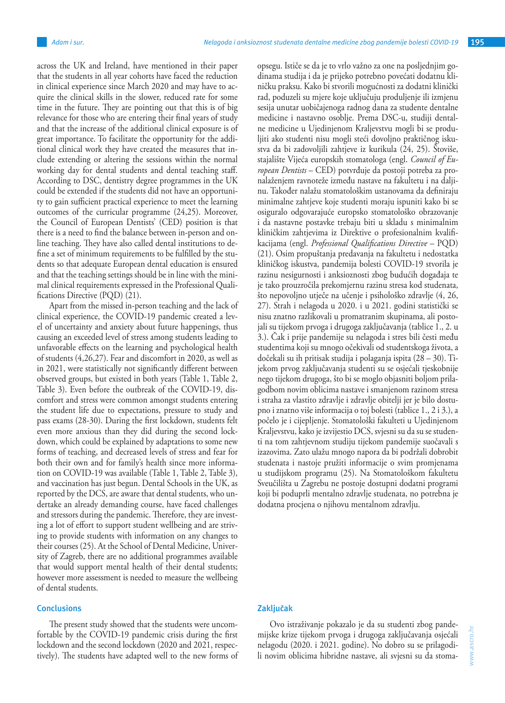across the UK and Ireland, have mentioned in their paper that the students in all year cohorts have faced the reduction in clinical experience since March 2020 and may have to acquire the clinical skills in the slower, reduced rate for some time in the future. They are pointing out that this is of big relevance for those who are entering their final years of study and that the increase of the additional clinical exposure is of great importance. To facilitate the opportunity for the additional clinical work they have created the measures that include extending or altering the sessions within the normal working day for dental students and dental teaching staff. According to DSC, dentistry degree programmes in the UK could be extended if the students did not have an opportunity to gain sufficient practical experience to meet the learning outcomes of the curricular programme (24,25). Moreover, the Council of European Dentists' (CED) position is that there is a need to find the balance between in-person and online teaching. They have also called dental institutions to define a set of minimum requirements to be fulfilled by the students so that adequate European dental education is ensured and that the teaching settings should be in line with the minimal clinical requirements expressed in the Professional Qualifications Directive (PQD) (21).

Apart from the missed in-person teaching and the lack of clinical experience, the COVID-19 pandemic created a level of uncertainty and anxiety about future happenings, thus causing an exceeded level of stress among students leading to unfavorable effects on the learning and psychological health of students (4,26,27). Fear and discomfort in 2020, as well as in 2021, were statistically not significantly different between observed groups, but existed in both years (Table 1, Table 2, Table 3). Even before the outbreak of the COVID-19, discomfort and stress were common amongst students entering the student life due to expectations, pressure to study and pass exams (28-30). During the first lockdown, students felt even more anxious than they did during the second lockdown, which could be explained by adaptations to some new forms of teaching, and decreased levels of stress and fear for both their own and for family's health since more information on COVID-19 was available (Table 1, Table 2, Table 3), and vaccination has just begun. Dental Schools in the UK, as reported by the DCS, are aware that dental students, who undertake an already demanding course, have faced challenges and stressors during the pandemic. Therefore, they are investing a lot of effort to support student wellbeing and are striving to provide students with information on any changes to their courses (25). At the School of Dental Medicine, University of Zagreb, there are no additional programmes available that would support mental health of their dental students; however more assessment is needed to measure the wellbeing of dental students.

## **Conclusions**

The present study showed that the students were uncomfortable by the COVID-19 pandemic crisis during the first lockdown and the second lockdown (2020 and 2021, respectively). The students have adapted well to the new forms of opsegu. Ističe se da je to vrlo važno za one na posljednjim godinama studija i da je prijeko potrebno povećati dodatnu kliničku praksu. Kako bi stvorili mogućnosti za dodatni klinički rad, poduzeli su mjere koje uključuju produljenje ili izmjenu sesija unutar uobičajenoga radnog dana za studente dentalne medicine i nastavno osoblje. Prema DSC-u, studiji dentalne medicine u Ujedinjenom Kraljevstvu mogli bi se produljiti ako studenti nisu mogli steći dovoljno praktičnog iskustva da bi zadovoljili zahtjeve iz kurikula (24, 25). Štoviše, stajalište Vijeća europskih stomatologa (engl. *Council of European Dentists* – CED) potvrđuje da postoji potreba za pronalaženjem ravnoteže između nastave na fakultetu i na daljinu. Također nalažu stomatološkim ustanovama da definiraju minimalne zahtjeve koje studenti moraju ispuniti kako bi se osiguralo odgovarajuće europsko stomatološko obrazovanje i da nastavne postavke trebaju biti u skladu s minimalnim kliničkim zahtjevima iz Direktive o profesionalnim kvalifikacijama (engl. *Professional Qualifications Directive* – PQD) (21). Osim propuštanja predavanja na fakultetu i nedostatka kliničkog iskustva, pandemija bolesti COVID-19 stvorila je razinu nesigurnosti i anksioznosti zbog budućih događaja te je tako prouzročila prekomjernu razinu stresa kod studenata, što nepovoljno utječe na učenje i psihološko zdravlje (4, 26, 27). Strah i nelagoda u 2020. i u 2021. godini statistički se nisu znatno razlikovali u promatranim skupinama, ali postojali su tijekom prvoga i drugoga zaključavanja (tablice 1., 2. u 3.). Čak i prije pandemije su nelagoda i stres bili česti među studentima koji su mnogo očekivali od studentskoga života, a dočekali su ih pritisak studija i polaganja ispita (28 – 30). Tijekom prvog zaključavanja studenti su se osjećali tjeskobnije nego tijekom drugoga, što bi se moglo objasniti boljom prilagodbom novim oblicima nastave i smanjenom razinom stresa i straha za vlastito zdravlje i zdravlje obitelji jer je bilo dostupno i znatno više informacija o toj bolesti (tablice 1., 2 i 3.), a počelo je i cijepljenje. Stomatološki fakulteti u Ujedinjenom Kraljevstvu, kako je izvijestio DCS, svjesni su da su se studenti na tom zahtjevnom studiju tijekom pandemije suočavali s izazovima. Zato ulažu mnogo napora da bi podržali dobrobit studenata i nastoje pružiti informacije o svim promjenama u studijskom programu (25). Na Stomatološkom fakultetu Sveučilišta u Zagrebu ne postoje dostupni dodatni programi koji bi poduprli mentalno zdravlje studenata, no potrebna je dodatna procjena o njihovu mentalnom zdravlju.

## **Zaključak**

Ovo istraživanje pokazalo je da su studenti zbog pandemijske krize tijekom prvoga i drugoga zaključavanja osjećali nelagodu (2020. i 2021. godine). No dobro su se prilagodili novim oblicima hibridne nastave, ali svjesni su da stoma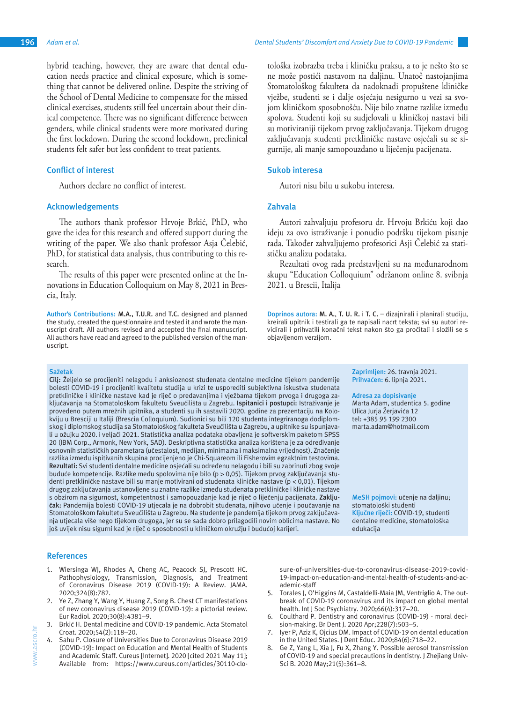hybrid teaching, however, they are aware that dental education needs practice and clinical exposure, which is something that cannot be delivered online. Despite the striving of the School of Dental Medicine to compensate for the missed clinical exercises, students still feel uncertain about their clinical competence. There was no significant difference between genders, while clinical students were more motivated during the first lockdown. During the second lockdown, preclinical students felt safer but less confident to treat patients.

#### **Conflict of interest**

Authors declare no conflict of interest.

## **Acknowledgements**

The authors thank professor Hrvoje Brkić, PhD, who gave the idea for this research and offered support during the writing of the paper. We also thank professor Asja Čelebić, PhD, for statistical data analysis, thus contributing to this research.

The results of this paper were presented online at the Innovations in Education Colloquium on May 8, 2021 in Brescia, Italy.

**Author's Contributions: M.A., T.U.R.** and **T.C.** designed and planned the study, created the questionnaire and tested it and wrote the manuscript draft. All authors revised and accepted the final manuscript. All authors have read and agreed to the published version of the manuscript.

#### **Sažetak**

**Cilj:** Željelo se procijeniti nelagodu i anksioznost studenata dentalne medicine tijekom pandemije bolesti COVID-19 i procijeniti kvalitetu studija u krizi te usporediti subjektivna iskustva studenata pretkliničke i kliničke nastave kad je riječ o predavanjima i vježbama tijekom prvoga i drugoga zaključavanja na Stomatološkom fakultetu Sveučilišta u Zagrebu. **Ispitanici i postupci:** Istraživanje je provedeno putem mrežnih upitnika, a studenti su ih sastavili 2020. godine za prezentaciju na Kolokviju u Bresciji u Italiji (Brescia Colloquium). Sudionici su bili 120 studenta integriranoga dodiplomskog i diplomskog studija sa Stomatološkog fakulteta Sveučilišta u Zagrebu, a upitnike su ispunjavali u ožujku 2020. i veljači 2021. Statistička analiza podataka obavljena je softverskim paketom SPSS 20 (IBM Corp., Armonk, New York, SAD). Deskriptivna statistička analiza korištena je za određivanje osnovnih statističkih parametara (učestalost, medijan, minimalna i maksimalna vrijednost). Značenje razlika između ispitivanih skupina procijenjeno je Chi-Squareom ili Fisherovim egzaktnim testovima. **Rezultati:** Svi studenti dentalne medicine osjećali su određenu nelagodu i bili su zabrinuti zbog svoje buduće kompetencije. Razlike među spolovima nije bilo (p > 0,05). Tijekom prvog zaključavanja studenti pretkliničke nastave bili su manje motivirani od studenata kliničke nastave (p < 0,01). Tijekom drugog zaključavanja ustanovljene su znatne razlike između studenata pretkliničke i kliničke nastave s obzirom na sigurnost, kompetentnost i samopouzdanje kad je riječ o liječenju pacijenata. **Zaključak:** Pandemija bolesti COVID-19 utjecala je na dobrobit studenata, njihovo učenje i poučavanje na Stomatološkom fakultetu Sveučilišta u Zagrebu. Na studente je pandemija tijekom prvog zaključavanja utjecala više nego tijekom drugoga, jer su se sada dobro prilagodili novim oblicima nastave. No još uvijek nisu sigurni kad je riječ o sposobnosti u kliničkom okružju i budućoj karijeri.

tološka izobrazba treba i kliničku praksu, a to je nešto što se ne može postići nastavom na daljinu. Unatoč nastojanjima Stomatološkog fakulteta da nadoknadi propuštene kliničke vježbe, studenti se i dalje osjećaju nesigurno u vezi sa svojom kliničkom sposobnošću. Nije bilo znatne razlike između spolova. Studenti koji su sudjelovali u kliničkoj nastavi bili su motiviraniji tijekom prvog zaključavanja. Tijekom drugog zaključavanja studenti pretkliničke nastave osjećali su se sigurnije, ali manje samopouzdano u liječenju pacijenata.

#### **Sukob interesa**

Autori nisu bilu u sukobu interesa.

# **Zahvala**

Autori zahvaljuju profesoru dr. Hrvoju Brkiću koji dao ideju za ovo istraživanje i ponudio podršku tijekom pisanje rada. Također zahvaljujemo profesorici Asji Čelebić za statističku analizu podataka.

Rezultati ovog rada predstavljeni su na međunarodnom skupu "Education Colloquium" održanom online 8. svibnja 2021. u Brescii, Italija

**Doprinos autora: M. A.**, **T. U. R.** i **T. C.** – dizajnirali i planirali studiju, kreirali upitnik i testirali ga te napisali nacrt teksta; svi su autori revidirali i prihvatili konačni tekst nakon što ga pročitali i složili se s objavljenom verzijom.

> **Zaprimljen:** 26. travnja 2021. **Prihvaćen:** 6. lipnja 2021.

#### **Adresa za dopisivanje**

Marta Adam, studentica 5. godine Ulica Jurja Žerjavića 12 tel: +385 95 199 2300 marta.adam@hotmail.com

**MeSH pojmovi:** učenje na daljinu; stomatološki studenti **Ključne riječi:** COVID-19, studenti dentalne medicine, stomatološka edukacija

#### **References**

- 1. Wiersinga WJ, Rhodes A, Cheng AC, Peacock SJ, Prescott HC. Pathophysiology, Transmission, Diagnosis, and Treatment of Coronavirus Disease 2019 (COVID-19): A Review. JAMA. 2020;324(8):782.
- 2. Ye Z, Zhang Y, Wang Y, Huang Z, Song B. Chest CT manifestations of new coronavirus disease 2019 (COVID-19): a pictorial review. Eur Radiol. 2020;30(8):4381–9.
- 3. Brkić H. Dental medicine and COVID-19 pandemic. Acta Stomatol Croat. 2020;54(2):118–20.
- 4. Sahu P. Closure of Universities Due to Coronavirus Disease 2019 (COVID-19): Impact on Education and Mental Health of Students and Academic Staff. Cureus [Internet]. 2020 [cited 2021 May 11]; Available from: https://www.cureus.com/articles/30110-clo-

sure-of-universities-due-to-coronavirus-disease-2019-covid-19-impact-on-education-and-mental-health-of-students-and-academic-staff

- 5. Torales J, O'Higgins M, Castaldelli-Maia JM, Ventriglio A. The outbreak of COVID-19 coronavirus and its impact on global mental health. Int J Soc Psychiatry. 2020;66(4):317–20.
- 6. Coulthard P. Dentistry and coronavirus (COVID-19) moral decision-making. Br Dent J. 2020 Apr;228(7):503–5.
- Iyer P, Aziz K, Ojcius DM. Impact of COVID-19 on dental education in the United States. J Dent Educ. 2020;84(6):718–22.
- 8. Ge Z, Yang L, Xia J, Fu X, Zhang Y. Possible aerosol transmission of COVID-19 and special precautions in dentistry. J Zhejiang Univ-Sci B. 2020 May;21(5):361–8.